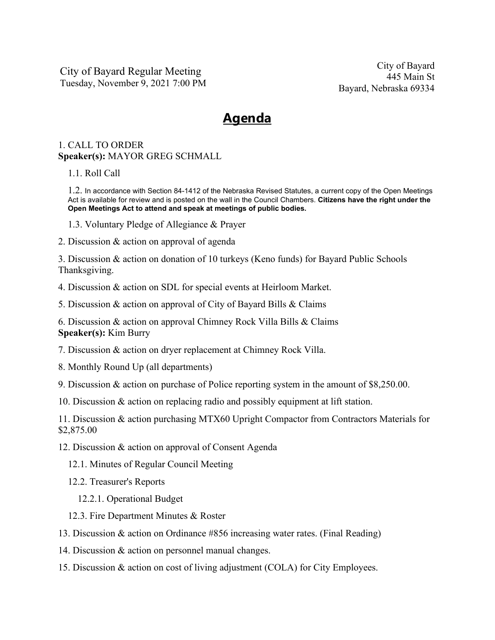City of Bayard Regular Meeting Tuesday, November 9, 2021 7:00 PM

## **Agenda**

## 1. CALL TO ORDER **Speaker(s):** MAYOR GREG SCHMALL

## 1.1. Roll Call

1.2. In accordance with Section 84-1412 of the Nebraska Revised Statutes, a current copy of the Open Meetings Act is available for review and is posted on the wall in the Council Chambers. **Citizens have the right under the Open Meetings Act to attend and speak at meetings of public bodies.**

- 1.3. Voluntary Pledge of Allegiance & Prayer
- 2. Discussion & action on approval of agenda

3. Discussion & action on donation of 10 turkeys (Keno funds) for Bayard Public Schools Thanksgiving.

- 4. Discussion & action on SDL for special events at Heirloom Market.
- 5. Discussion & action on approval of City of Bayard Bills & Claims

6. Discussion & action on approval Chimney Rock Villa Bills & Claims **Speaker(s):** Kim Burry

7. Discussion & action on dryer replacement at Chimney Rock Villa.

- 8. Monthly Round Up (all departments)
- 9. Discussion & action on purchase of Police reporting system in the amount of \$8,250.00.
- 10. Discussion & action on replacing radio and possibly equipment at lift station.

11. Discussion & action purchasing MTX60 Upright Compactor from Contractors Materials for \$2,875.00

- 12. Discussion & action on approval of Consent Agenda
	- 12.1. Minutes of Regular Council Meeting
	- 12.2. Treasurer's Reports
		- 12.2.1. Operational Budget
	- 12.3. Fire Department Minutes & Roster
- 13. Discussion & action on Ordinance #856 increasing water rates. (Final Reading)
- 14. Discussion & action on personnel manual changes.
- 15. Discussion & action on cost of living adjustment (COLA) for City Employees.